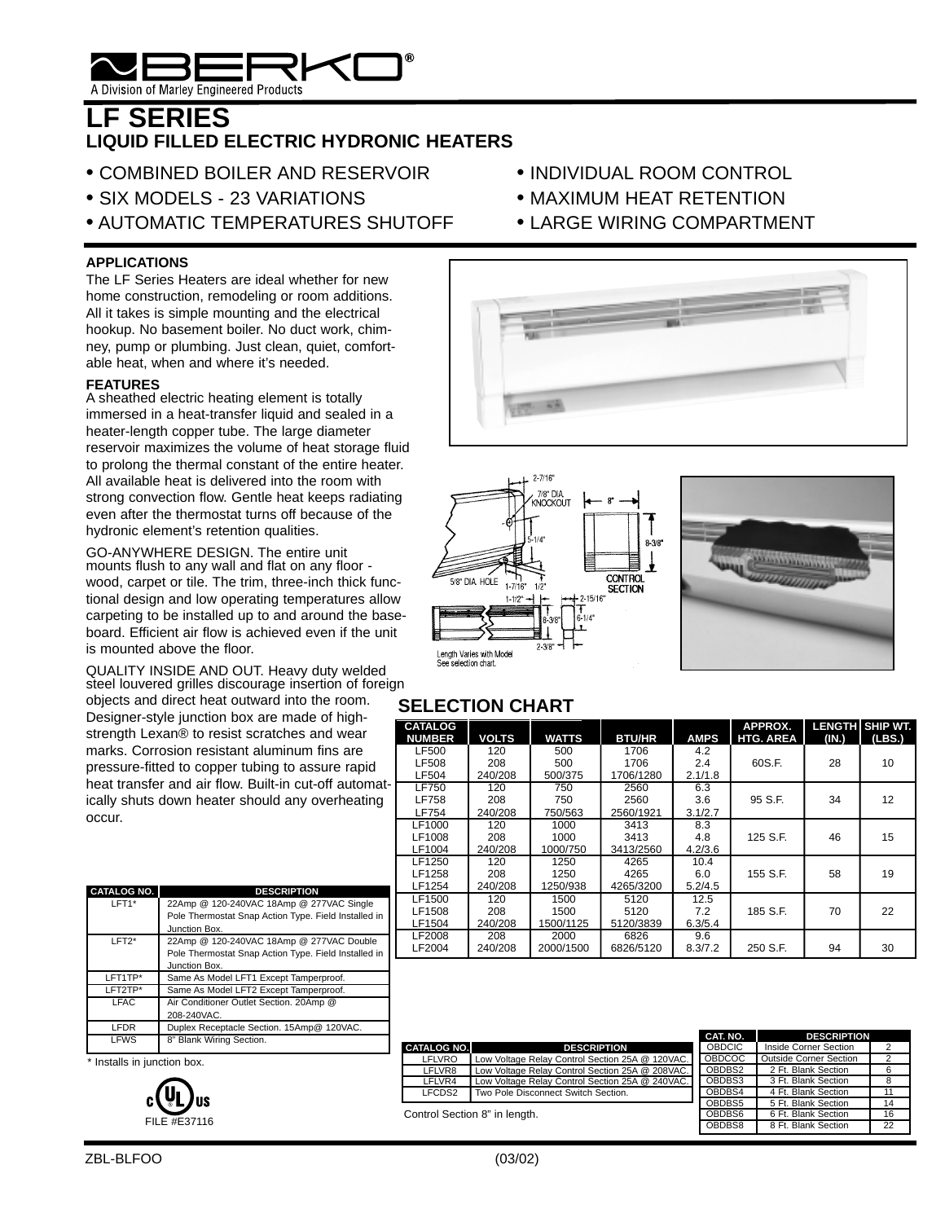

## **LF SERIES LIQUID FILLED ELECTRIC HYDRONIC HEATERS**

- COMBINED BOILER AND RESERVOIR
- SIX MODELS 23 VARIATIONS
- AUTOMATIC TEMPERATURES SHUTOFF

#### **APPLICATIONS**

The LF Series Heaters are ideal whether for new home construction, remodeling or room additions. All it takes is simple mounting and the electrical hookup. No basement boiler. No duct work, chimney, pump or plumbing. Just clean, quiet, comfortable heat, when and where it's needed.

#### **FEATURES**

A sheathed electric heating element is totally immersed in a heat-transfer liquid and sealed in a heater-length copper tube. The large diameter reservoir maximizes the volume of heat storage fluid to prolong the thermal constant of the entire heater. All available heat is delivered into the room with strong convection flow. Gentle heat keeps radiating even after the thermostat turns off because of the hydronic element's retention qualities.

GO-ANYWHERE DESIGN. The entire unit mounts flush to any wall and flat on any floor wood, carpet or tile. The trim, three-inch thick functional design and low operating temperatures allow carpeting to be installed up to and around the baseboard. Efficient air flow is achieved even if the unit is mounted above the floor.

QUALITY INSIDE AND OUT. Heavy duty welded steel louvered grilles discourage insertion of foreign

objects and direct heat outward into the room. Designer-style junction box are made of highstrength Lexan® to resist scratches and wear marks. Corrosion resistant aluminum fins are pressure-fitted to copper tubing to assure rapid heat transfer and air flow. Built-in cut-off automatically shuts down heater should any overheating occur.

| <b>CATALOG NO.</b> | <b>DESCRIPTION</b>                                   |
|--------------------|------------------------------------------------------|
| LFT1*              | 22Amp @ 120-240VAC 18Amp @ 277VAC Single             |
|                    | Pole Thermostat Snap Action Type. Field Installed in |
|                    | Junction Box.                                        |
| $LFT2*$            | 22Amp @ 120-240VAC 18Amp @ 277VAC Double             |
|                    | Pole Thermostat Snap Action Type. Field Installed in |
|                    | Junction Box.                                        |
| LFT1TP*            | Same As Model LFT1 Except Tamperproof.               |
| LFT2TP*            | Same As Model LFT2 Except Tamperproof.               |
| LFAC               | Air Conditioner Outlet Section. 20Amp @              |
|                    | 208-240VAC.                                          |
| <b>LFDR</b>        | Duplex Receptacle Section. 15Amp@ 120VAC.            |
| <b>LFWS</b>        | 8" Blank Wiring Section.                             |
|                    |                                                      |

\* Installs in junction box.



- INDIVIDUAL ROOM CONTROL
- MAXIMUM HEAT RETENTION
- LARGE WIRING COMPARTMENT







### **SELECTION CHART**

| <b>CATALOG</b><br><b>NUMBER</b> | <b>VOLTS</b> | <b>WATTS</b> | <b>BTU/HR</b> | <b>AMPS</b> | APPROX.<br><b>HTG. AREA</b> | (IN.) | LENGTH SHIP WT.<br>(LBS.) |
|---------------------------------|--------------|--------------|---------------|-------------|-----------------------------|-------|---------------------------|
| <b>LF500</b>                    | 120          | 500          | 1706          | 4.2         |                             | 28    | 10                        |
| <b>LF508</b>                    | 208          | 500          | 1706          | 2.4         | 60S.F.                      |       |                           |
| <b>LF504</b>                    | 240/208      | 500/375      | 1706/1280     | 2.1/1.8     |                             |       |                           |
| <b>LF750</b>                    | 120          | 750          | 2560          | 6.3         |                             |       |                           |
| <b>LF758</b>                    | 208          | 750          | 2560          | 3.6         | 95 S.F.                     | 34    | 12                        |
| LF754                           | 240/208      | 750/563      | 2560/1921     | 3.1/2.7     |                             |       |                           |
| LF1000                          | 120          | 1000         | 3413          | 8.3         |                             |       |                           |
| LF1008                          | 208          | 1000         | 3413          | 4.8         | 125 S.F.                    | 46    | 15                        |
| LF1004                          | 240/208      | 1000/750     | 3413/2560     | 4.2/3.6     |                             |       |                           |
| LF1250                          | 120          | 1250         | 4265          | 10.4        |                             |       |                           |
| LF1258                          | 208          | 1250         | 4265          | 6.0         | 155 S.F.                    | 58    | 19                        |
| LF1254                          | 240/208      | 1250/938     | 4265/3200     | 5.2/4.5     |                             |       |                           |
| LF1500                          | 120          | 1500         | 5120          | 12.5        |                             |       |                           |
| LF1508                          | 208          | 1500         | 5120          | 7.2         | 185 S.F.                    | 70    | 22                        |
| LF1504                          | 240/208      | 1500/1125    | 5120/3839     | 6.3/5.4     |                             |       |                           |
| LF2008                          | 208          | 2000         | 6826          | 9.6         |                             |       |                           |
| LF2004                          | 240/208      | 2000/1500    | 6826/5120     | 8.3/7.2     | 250 S.F.                    | 94    | 30                        |

|                               |                                                 | CAT. NO.      | <b>DESCRIPTION</b>     |    |
|-------------------------------|-------------------------------------------------|---------------|------------------------|----|
| <b>CATALOG NO.</b>            | <b>DESCRIPTION</b>                              | <b>OBDCIC</b> | Inside Corner Section  |    |
| <b>LFLVRO</b>                 | Low Voltage Relay Control Section 25A @ 120VAC. | <b>OBDCOC</b> | Outside Corner Section |    |
| LFLVR8                        | Low Voltage Relay Control Section 25A @ 208VAC. | OBDBS2        | 2 Ft. Blank Section    | 6  |
| LFLVR4                        | Low Voltage Relay Control Section 25A @ 240VAC. | OBDBS3        | 3 Ft. Blank Section    | 8  |
| LFCDS2                        | Two Pole Disconnect Switch Section.             | OBDBS4        | 4 Ft. Blank Section    | 11 |
|                               |                                                 | OBDBS5        | 5 Ft. Blank Section    | 14 |
| Control Section 8" in length. |                                                 | OBDBS6        | 6 Ft. Blank Section    | 16 |
|                               |                                                 | OBDBS8        | 8 Ft. Blank Section    | 22 |